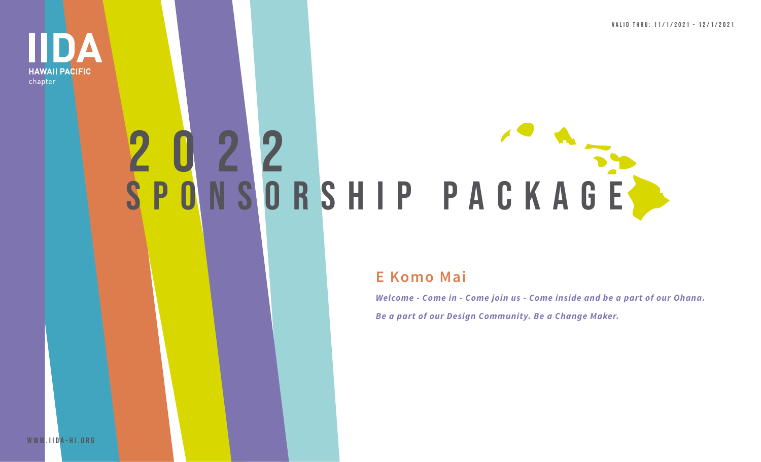Valid thru: 11/1/2021 - 12/1/2021



# 2022 SPONSORSHIP PACKAGE

## **E Komo Mai**

*Welcome - Come in - Come join us - Come inside and be a part of our Ohana. Be a part of our Design Community. Be a Change Maker.*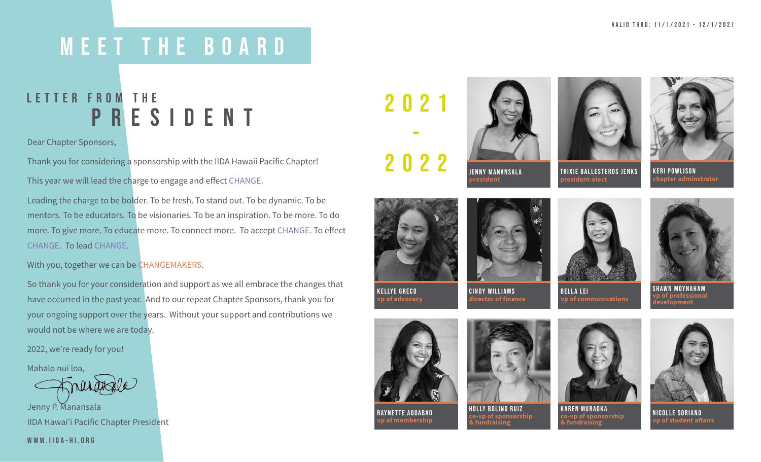## meet the board

## **PRESIDENT** LETTER FROM THE

Dear Chapter Sponsors,

Thank you for considering a sponsorship with the IIDA Hawaii Pacific Chapter! This year we will lead the charge to engage and effect CHANGE.

Leading the charge to be bolder. To be fresh. To stand out. To be dynamic. To be mentors. To be educators. To be visionaries. To be an inspiration. To be more. To do more. To give more. To educate more. To connect more. To accept CHANGE. To effect CHANGE. To lead CHANGE.

With you, together we can be CHANGEMAKERS.

So thank you for your consideration and support as we all embrace the changes that have occurred in the past year. And to our repeat Chapter Sponsors, thank you for your ongoing support over the years. Without your support and contributions we would not be where we are today.

2022, we're ready for you!

Mahalo nui loa,

Jenny P. Manansala IIDA Hawai'i Pacific Chapter President

[www.IIDA-HI.ORG](https://iida-hi.org/)

2021 -

2022







keri powlison **chapter adminstrator**



cindy williams **director of finance**



**president-elect**



**vp of communications** shawn moynaham **vp of professional development**



KELLYE GRECO **vp of advocacy**

raynette aggabao **vp of membership**







**KAREN MURAOKA**<br>
co-vp of sponsorship<br>
& fundraising<br> **comparishment**<br> **comparishment**<br> **comparishment**<br> **comparishment**<br> **comparishment**<br> **comparishment**<br> **comparishment**<br> **comparishment**<br> **comparishment**<br> **comparishment & fundraising vp of student affairs**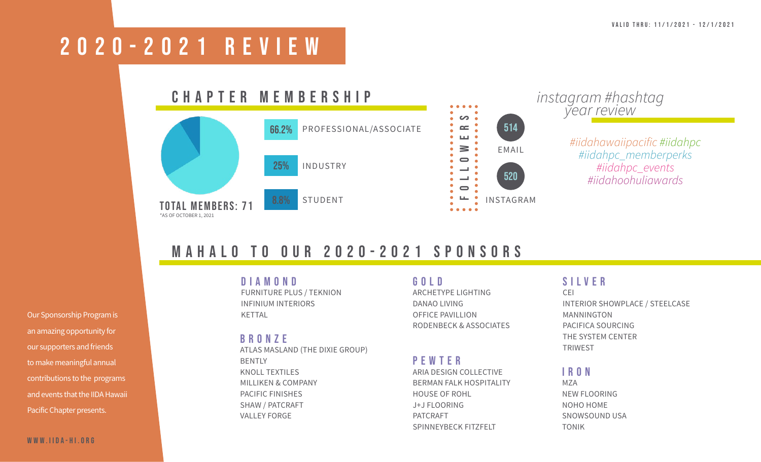## 2020-2021 REVIEW

#### CHAPTER MEMBERSHIP  $\bullet$   $\bullet$  $\overline{\phantom{a}}$  $\mathbf{C}$ PROFESSIONAL/ASSOCIATE 66.2%  $\mathbf{L}$ ≧  $\blacksquare$ 25% INDUSTRY

TOTAL MEMBERS: 71 \*AS OF OCTOBER 1, 2021

STUDENT



# *instagram #hashtag year review*

*[#iidahawaiipacific #iidahpc](https://www.instagram.com/iidahawaiipacific/)  [#iidahpc\\_memberperks](https://www.instagram.com/iidahawaiipacific/)  [#iidahpc\\_events](https://www.instagram.com/iidahawaiipacific/) [#iidahoohuliawards](https://www.instagram.com/iidahawaiipacific/)*

## mahalo TO OUR 2020-2021 SPONSORS

Our Sponsorship Program is an amazing opportunity for our supporters and friends to make meaningful annual contributions to the programs and events that the IIDA Hawaii Pacific Chapter presents.

DIAMOND FURNITURE PLUS / TEKNION

INFINIUM INTERIORS KETTAL

### BRONZE

ATLAS MASLAND (THE DIXIE GROUP) BENTLY KNOLL TEXTILES MILLIKEN & COMPANY PACIFIC FINISHES SHAW / PATCRAFT VALLEY FORGE

#### GOLD ARCHETYPE LIGHTING

DANAO LIVING OFFICE PAVILLION RODENBECK & ASSOCIATES

### PEWTER

ARIA DESIGN COLLECTIVE BERMAN FALK HOSPITALITY HOUSE OF ROHL J+J FLOORING PATCRAFT SPINNEYBECK FITZFELT

## SILVER

CEI INTERIOR SHOWPLACE / STEELCASE MANNINGTON PACIFICA SOURCING THE SYSTEM CENTER TRIWEST

#### IRON

MZA NEW FLOORING NOHO HOME SNOWSOUND USA TONIK

#### [www.IIDA-HI.ORG](https://iida-hi.org/)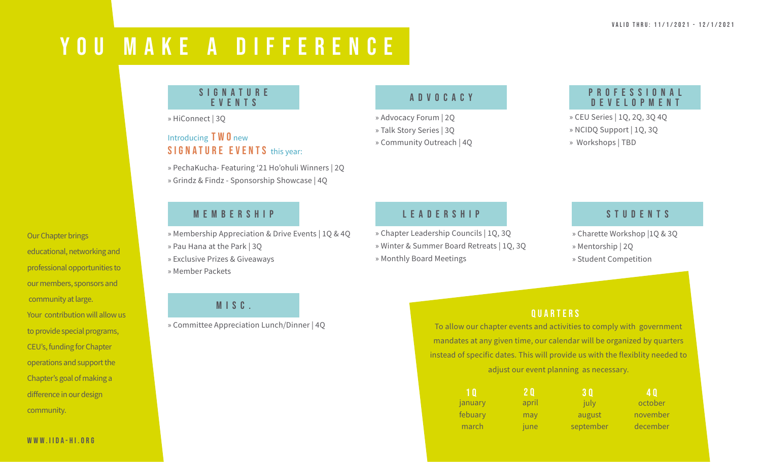## YOU MAKE A DIFFERENCE

#### S I G N A T U R E events

» HiConnect | 3Q

### Introducing  $T W 0$  new SIGNATURE EVENTS this year:

» PechaKucha- Featuring '21 Ho'ohuli Winners | 2Q » Grindz & Findz - Sponsorship Showcase | 4Q

## **MEMBERSHIP**

» Membership Appreciation & Drive Events | 1Q & 4Q

- » Pau Hana at the Park | 3Q
- » Exclusive Prizes & Giveaways
- » Member Packets

## MISC.

» Committee Appreciation Lunch/Dinner | 4Q

### advocacy

» Advocacy Forum | 2Q » Talk Story Series | 3Q » Community Outreach | 4Q

### p r o f e s s i o n a l development

» CEU Series | 1Q, 2Q, 3Q 4Q » NCIDQ Support | 1Q, 3Q » Workshops | TBD

## leadership

» Chapter Leadership Councils | 1Q, 3Q » Winter & Summer Board Retreats | 1Q, 3Q » Monthly Board Meetings

### **STUDENTS**

- » Charette Workshop |1Q & 3Q » Mentorship | 2Q
- » Student Competition

## **QUARTERS**

To allow our chapter events and activities to comply with government mandates at any given time, our calendar will be organized by quarters instead of specific dates. This will provide us with the flexiblity needed to adjust our event planning as necessary.

| 10      | '2 Q. | 30        | <b>40</b> |
|---------|-------|-----------|-----------|
| january | april | july      | october   |
| febuary | may   | august    | november  |
| march   | june  | september | december  |

educational, networking and professional opportunities to our members, sponsors and community at large. Your contribution will allow us to provide special programs, CEU's, funding for Chapter operations and support the Chapter's goal of making a difference in our design community.

Our Chapter brings

[www.IIDA-HI.ORG](https://iida-hi.org/)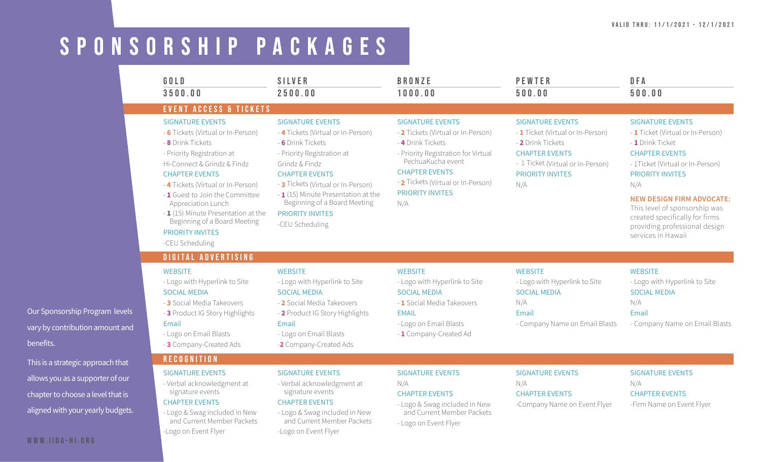#### Valid thru: 11/1/2021 - 12/1/2021

## SPONSORSHIP packages

-Logo on Event Flyer

-Logo on Event Flyer

|            | GOLD<br>3500.00                                                                                                                                                                                                                                                                                                                                                                              | <b>SILVER</b><br>2500.00                                                                                                                                                                                                                                                                                                | <b>BRONZE</b><br>1000.00                                                                                                                                                                                                                        | <b>PEWTER</b><br>500.00                                                                                                                                                           | DFA<br>500.00                                                                                                                                                                                                                                                                                                                                 |
|------------|----------------------------------------------------------------------------------------------------------------------------------------------------------------------------------------------------------------------------------------------------------------------------------------------------------------------------------------------------------------------------------------------|-------------------------------------------------------------------------------------------------------------------------------------------------------------------------------------------------------------------------------------------------------------------------------------------------------------------------|-------------------------------------------------------------------------------------------------------------------------------------------------------------------------------------------------------------------------------------------------|-----------------------------------------------------------------------------------------------------------------------------------------------------------------------------------|-----------------------------------------------------------------------------------------------------------------------------------------------------------------------------------------------------------------------------------------------------------------------------------------------------------------------------------------------|
|            | <b>EVENT ACCESS &amp; TICKETS</b>                                                                                                                                                                                                                                                                                                                                                            |                                                                                                                                                                                                                                                                                                                         |                                                                                                                                                                                                                                                 |                                                                                                                                                                                   |                                                                                                                                                                                                                                                                                                                                               |
|            | <b>SIGNATURE EVENTS</b><br>- 6 Tickets (Virtual or In-Person)<br>- 8 Drink Tickets<br>- Priority Registration at<br>Hi-Connect & Grindz & Findz<br><b>CHAPTER EVENTS</b><br>- 4 Tickets (Virtual or In-Person)<br>- 1 Guest to Join the Committee<br>Appreciation Lunch<br>- 1 (15) Minute Presentation at the<br>Beginning of a Board Meeting<br><b>PRIORITY INVITES</b><br>-CEU Scheduling | <b>SIGNATURE EVENTS</b><br>- 4 Tickets (Virtual or In-Person)<br>- 6 Drink Tickets<br>- Priority Registration at<br>Grindz & Findz<br><b>CHAPTER EVENTS</b><br>- 3 Tickets (Virtual or In-Person)<br>$-1$ (15) Minute Presentation at the<br>Beginning of a Board Meeting<br><b>PRIORITY INVITES</b><br>-CEU Scheduling | <b>SIGNATURE EVENTS</b><br>- 2 Tickets (Virtual or In-Person)<br>- 4 Drink Tickets<br>- Priority Registration for Virtual<br>PechuaKucha event<br><b>CHAPTER EVENTS</b><br>- 2 Tickets (Virtual or In-Person)<br><b>PRIORITY INVITES</b><br>N/A | <b>SIGNATURE EVENTS</b><br>- 1 Ticket (Virtual or In-Person)<br>- 2 Drink Tickets<br><b>CHAPTER EVENTS</b><br>- 1 Ticket (Virtual or In-Person)<br><b>PRIORITY INVITES</b><br>N/A | <b>SIGNATURE EVENTS</b><br>- 1 Ticket (Virtual or In-Person)<br>- 1 Drink Ticket<br><b>CHAPTER EVENTS</b><br>- 1Ticket (Virtual or In-Person)<br><b>PRIORITY INVITES</b><br>N/A<br><b>NEW DESIGN FIRM ADVOCATE:</b><br>This level of sponsorship was<br>created specifically for firms<br>providing professional design<br>services in Hawaii |
|            | <b>DIGITAL ADVERTISING</b>                                                                                                                                                                                                                                                                                                                                                                   |                                                                                                                                                                                                                                                                                                                         |                                                                                                                                                                                                                                                 |                                                                                                                                                                                   |                                                                                                                                                                                                                                                                                                                                               |
| els<br>and | <b>WEBSITE</b><br>- Logo with Hyperlink to Site<br><b>SOCIAL MEDIA</b><br>- 3 Social Media Takeovers<br>- 3 Product IG Story Highlights<br>Email<br>- Logo on Email Blasts<br>- 3 Company-Created Ads                                                                                                                                                                                        | <b>WEBSITE</b><br>- Logo with Hyperlink to Site<br><b>SOCIAL MEDIA</b><br>- 2 Social Media Takeovers<br>- 2 Product IG Story Highlights<br>Email<br>- Logo on Email Blasts<br>-2 Company-Created Ads                                                                                                                    | <b>WEBSITE</b><br>- Logo with Hyperlink to Site<br><b>SOCIAL MEDIA</b><br>- 1 Social Media Takeovers<br><b>FMAIL</b><br>- Logo on Email Blasts<br>- 1 Company-Created Ad                                                                        | <b>WEBSITE</b><br>- Logo with Hyperlink to Site<br><b>SOCIAL MEDIA</b><br>N/A<br><b>Fmail</b><br>- Company Name on Email Blasts                                                   | <b>WEBSITE</b><br>- Logo with Hyperlink to Site<br><b>SOCIAL MEDIA</b><br>N/A<br>Email<br>- Company Name on Email Blasts                                                                                                                                                                                                                      |
| at.        | <b>RECOGNITION</b>                                                                                                                                                                                                                                                                                                                                                                           |                                                                                                                                                                                                                                                                                                                         |                                                                                                                                                                                                                                                 |                                                                                                                                                                                   |                                                                                                                                                                                                                                                                                                                                               |
| ur<br>ets. | <b>SIGNATURE EVENTS</b><br>- Verbal acknowledgment at<br>signature events<br><b>CHAPTER EVENTS</b><br>- Logo & Swag included in New<br>and Current Member Packets                                                                                                                                                                                                                            | <b>SIGNATURE EVENTS</b><br>- Verbal acknowledgment at<br>signature events<br><b>CHAPTER EVENTS</b><br>- Logo & Swag included in New<br>and Current Member Packets                                                                                                                                                       | <b>SIGNATURE EVENTS</b><br>N/A<br><b>CHAPTER EVENTS</b><br>- Logo & Swag included in New<br>and Current Member Packets<br>- Logo on Event Flyer                                                                                                 | <b>SIGNATURE EVENTS</b><br>N/A<br><b>CHAPTER EVENTS</b><br>-Company Name on Event Flyer                                                                                           | <b>SIGNATURE EVENTS</b><br>N/A<br><b>CHAPTER EVENTS</b><br>-Firm Name on Event Flyer                                                                                                                                                                                                                                                          |

Our Sponsorship Program levels vary by contribution amount a benefits.

This is a strategic approach that allows you as a supporter of or chapter to choose a level that aligned with your yearly budge

#### [www.IIDA-HI.ORG](https://iida-hi.org/)